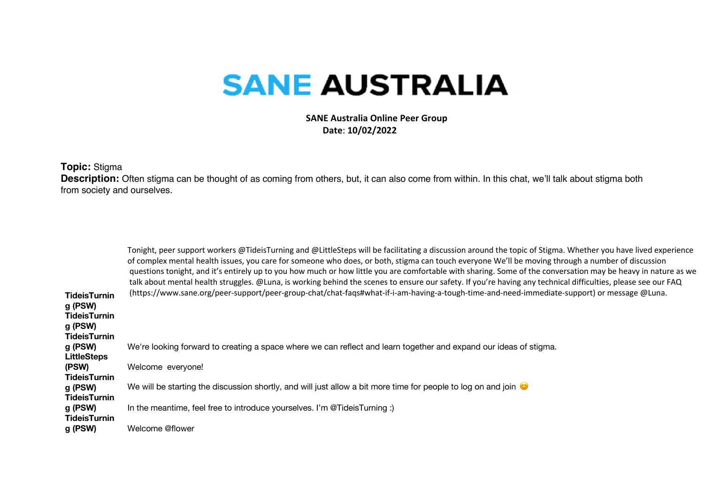## **SANE AUSTRALIA**

 **SANE Australia Online Peer Group Date**: **10/02/2022**

**Topic:** Stigma

Description: Often stigma can be thought of as coming from others, but, it can also come from within. In this chat, we'll talk about stigma both from society and ourselves.

| <b>TideisTurnin</b><br>g (PSW)<br><b>TideisTurnin</b><br>g (PSW)<br><b>TideisTurnin</b> | Tonight, peer support workers @TideisTurning and @LittleSteps will be facilitating a discussion around the topic of Stigma. Whether you have lived experience<br>of complex mental health issues, you care for someone who does, or both, stigma can touch everyone We'll be moving through a number of discussion<br>questions tonight, and it's entirely up to you how much or how little you are comfortable with sharing. Some of the conversation may be heavy in nature as we<br>talk about mental health struggles. @Luna, is working behind the scenes to ensure our safety. If you're having any technical difficulties, please see our FAQ<br>(https://www.sane.org/peer-support/peer-group-chat/chat-faqs#what-if-i-am-having-a-tough-time-and-need-immediate-support) or message @Luna. |
|-----------------------------------------------------------------------------------------|-----------------------------------------------------------------------------------------------------------------------------------------------------------------------------------------------------------------------------------------------------------------------------------------------------------------------------------------------------------------------------------------------------------------------------------------------------------------------------------------------------------------------------------------------------------------------------------------------------------------------------------------------------------------------------------------------------------------------------------------------------------------------------------------------------|
| g (PSW)<br><b>LittleSteps</b>                                                           | We're looking forward to creating a space where we can reflect and learn together and expand our ideas of stigma.                                                                                                                                                                                                                                                                                                                                                                                                                                                                                                                                                                                                                                                                                   |
| (PSW)                                                                                   | Welcome everyone!                                                                                                                                                                                                                                                                                                                                                                                                                                                                                                                                                                                                                                                                                                                                                                                   |
| <b>TideisTurnin</b><br>g (PSW)<br><b>TideisTurnin</b>                                   | We will be starting the discussion shortly, and will just allow a bit more time for people to log on and join $\bullet$                                                                                                                                                                                                                                                                                                                                                                                                                                                                                                                                                                                                                                                                             |
| g (PSW)                                                                                 | In the meantime, feel free to introduce yourselves. I'm @TideisTurning :)                                                                                                                                                                                                                                                                                                                                                                                                                                                                                                                                                                                                                                                                                                                           |
| <b>TideisTurnin</b><br>g (PSW)                                                          | Welcome @flower                                                                                                                                                                                                                                                                                                                                                                                                                                                                                                                                                                                                                                                                                                                                                                                     |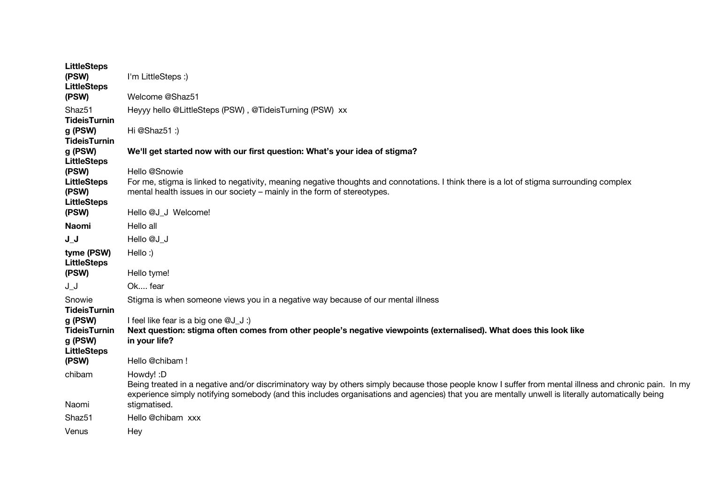| <b>LittleSteps</b><br>(PSW)<br><b>LittleSteps</b>               | I'm LittleSteps :)                                                                                                                                                                                                                                                                                                      |
|-----------------------------------------------------------------|-------------------------------------------------------------------------------------------------------------------------------------------------------------------------------------------------------------------------------------------------------------------------------------------------------------------------|
| (PSW)                                                           | Welcome @Shaz51                                                                                                                                                                                                                                                                                                         |
| Shaz <sub>51</sub>                                              | Heyyy hello @LittleSteps (PSW), @TideisTurning (PSW) xx                                                                                                                                                                                                                                                                 |
| <b>TideisTurnin</b>                                             |                                                                                                                                                                                                                                                                                                                         |
| g (PSW)<br><b>TideisTurnin</b>                                  | Hi @Shaz51:)                                                                                                                                                                                                                                                                                                            |
| g (PSW)                                                         | We'll get started now with our first question: What's your idea of stigma?                                                                                                                                                                                                                                              |
| <b>LittleSteps</b>                                              |                                                                                                                                                                                                                                                                                                                         |
| (PSW)                                                           | Hello @Snowie                                                                                                                                                                                                                                                                                                           |
| <b>LittleSteps</b><br>(PSW)                                     | For me, stigma is linked to negativity, meaning negative thoughts and connotations. I think there is a lot of stigma surrounding complex<br>mental health issues in our society – mainly in the form of stereotypes.                                                                                                    |
| <b>LittleSteps</b><br>(PSW)                                     | Hello @J J Welcome!                                                                                                                                                                                                                                                                                                     |
|                                                                 |                                                                                                                                                                                                                                                                                                                         |
| <b>Naomi</b>                                                    | Hello all                                                                                                                                                                                                                                                                                                               |
| J J                                                             | Hello @J J                                                                                                                                                                                                                                                                                                              |
| tyme (PSW)<br><b>LittleSteps</b>                                | Hello:)                                                                                                                                                                                                                                                                                                                 |
| (PSW)                                                           | Hello tyme!                                                                                                                                                                                                                                                                                                             |
| ل_ل                                                             | Ok fear                                                                                                                                                                                                                                                                                                                 |
| Snowie<br><b>TideisTurnin</b>                                   | Stigma is when someone views you in a negative way because of our mental illness                                                                                                                                                                                                                                        |
| g (PSW)<br><b>TideisTurnin</b><br>g (PSW)<br><b>LittleSteps</b> | I feel like fear is a big one @J_J:)<br>Next question: stigma often comes from other people's negative viewpoints (externalised). What does this look like<br>in your life?                                                                                                                                             |
| (PSW)                                                           | Hello @chibam!                                                                                                                                                                                                                                                                                                          |
| chibam                                                          | Howdy!: D<br>Being treated in a negative and/or discriminatory way by others simply because those people know I suffer from mental illness and chronic pain. In my<br>experience simply notifying somebody (and this includes organisations and agencies) that you are mentally unwell is literally automatically being |
| Naomi                                                           | stigmatised.                                                                                                                                                                                                                                                                                                            |
| Shaz <sub>51</sub>                                              | Hello @chibam xxx                                                                                                                                                                                                                                                                                                       |
| Venus                                                           | Hey                                                                                                                                                                                                                                                                                                                     |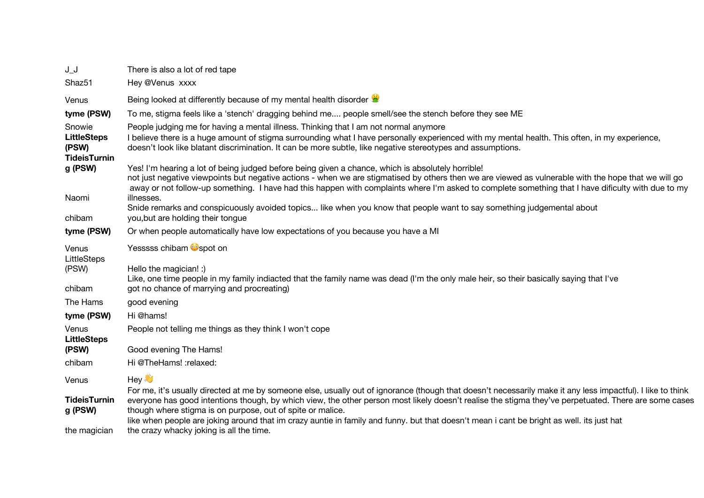| $J_{-}J_{-}$                                                 | There is also a lot of red tape                                                                                                                                                                                                                                                                                                                                                                                 |
|--------------------------------------------------------------|-----------------------------------------------------------------------------------------------------------------------------------------------------------------------------------------------------------------------------------------------------------------------------------------------------------------------------------------------------------------------------------------------------------------|
| Shaz51                                                       | Hey @Venus xxxx                                                                                                                                                                                                                                                                                                                                                                                                 |
| Venus                                                        | Being looked at differently because of my mental health disorder                                                                                                                                                                                                                                                                                                                                                |
| tyme (PSW)                                                   | To me, stigma feels like a 'stench' dragging behind me people smell/see the stench before they see ME                                                                                                                                                                                                                                                                                                           |
| Snowie<br><b>LittleSteps</b><br>(PSW)<br><b>TideisTurnin</b> | People judging me for having a mental illness. Thinking that I am not normal anymore<br>I believe there is a huge amount of stigma surrounding what I have personally experienced with my mental health. This often, in my experience,<br>doesn't look like blatant discrimination. It can be more subtle, like negative stereotypes and assumptions.                                                           |
| g (PSW)                                                      | Yes! I'm hearing a lot of being judged before being given a chance, which is absolutely horrible!<br>not just negative viewpoints but negative actions - when we are stigmatised by others then we are viewed as vulnerable with the hope that we will go<br>away or not follow-up something. I have had this happen with complaints where I'm asked to complete something that I have dificulty with due to my |
| Naomi<br>chibam                                              | illnesses.<br>Snide remarks and conspicuously avoided topics like when you know that people want to say something judgemental about<br>you, but are holding their tongue                                                                                                                                                                                                                                        |
| tyme (PSW)                                                   | Or when people automatically have low expectations of you because you have a MI                                                                                                                                                                                                                                                                                                                                 |
| Venus<br>LittleSteps<br>(PSW)                                | Yesssss chibam <b>O</b> spot on<br>Hello the magician! :)<br>Like, one time people in my family indiacted that the family name was dead (I'm the only male heir, so their basically saying that I've                                                                                                                                                                                                            |
| chibam                                                       | got no chance of marrying and procreating)                                                                                                                                                                                                                                                                                                                                                                      |
| The Hams                                                     | good evening                                                                                                                                                                                                                                                                                                                                                                                                    |
| tyme (PSW)                                                   | Hi @hams!                                                                                                                                                                                                                                                                                                                                                                                                       |
| Venus<br><b>LittleSteps</b>                                  | People not telling me things as they think I won't cope                                                                                                                                                                                                                                                                                                                                                         |
| (PSW)                                                        | Good evening The Hams!                                                                                                                                                                                                                                                                                                                                                                                          |
| chibam                                                       | Hi @TheHams! : relaxed:                                                                                                                                                                                                                                                                                                                                                                                         |
| Venus                                                        | Hey<br>For me, it's usually directed at me by someone else, usually out of ignorance (though that doesn't necessarily make it any less impactful). I like to think                                                                                                                                                                                                                                              |
| <b>TideisTurnin</b><br>g (PSW)                               | everyone has good intentions though, by which view, the other person most likely doesn't realise the stigma they've perpetuated. There are some cases<br>though where stigma is on purpose, out of spite or malice.                                                                                                                                                                                             |
| the magician                                                 | like when people are joking around that im crazy auntie in family and funny. but that doesn't mean i cant be bright as well. its just hat<br>the crazy whacky joking is all the time.                                                                                                                                                                                                                           |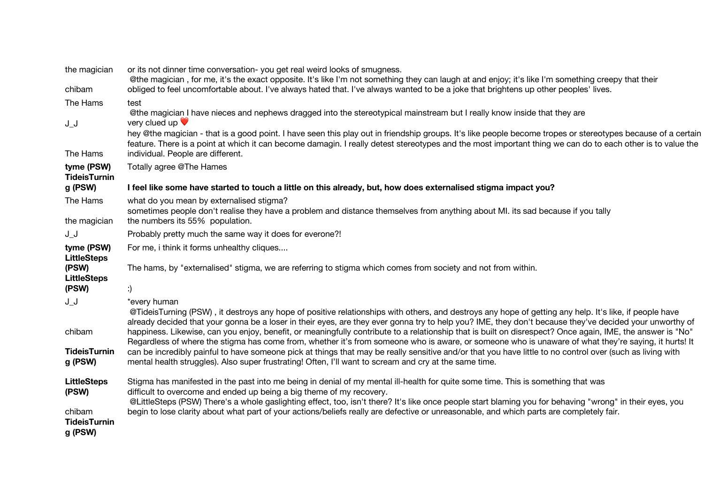| the magician                             | or its not dinner time conversation-you get real weird looks of smugness.<br>@the magician, for me, it's the exact opposite. It's like I'm not something they can laugh at and enjoy; it's like I'm something creepy that their                                                                                                                                 |
|------------------------------------------|-----------------------------------------------------------------------------------------------------------------------------------------------------------------------------------------------------------------------------------------------------------------------------------------------------------------------------------------------------------------|
| chibam                                   | obliged to feel uncomfortable about. I've always hated that. I've always wanted to be a joke that brightens up other peoples' lives.                                                                                                                                                                                                                            |
| The Hams                                 | test<br>@the magician I have nieces and nephews dragged into the stereotypical mainstream but I really know inside that they are                                                                                                                                                                                                                                |
| $J_{-}J$                                 | very clued up $\blacktriangledown$                                                                                                                                                                                                                                                                                                                              |
| The Hams                                 | hey @the magician - that is a good point. I have seen this play out in friendship groups. It's like people become tropes or stereotypes because of a certain<br>feature. There is a point at which it can become damagin. I really detest stereotypes and the most important thing we can do to each other is to value the<br>individual. People are different. |
| tyme (PSW)<br><b>TideisTurnin</b>        | Totally agree @The Hames                                                                                                                                                                                                                                                                                                                                        |
| g (PSW)                                  | I feel like some have started to touch a little on this already, but, how does externalised stigma impact you?                                                                                                                                                                                                                                                  |
| The Hams                                 | what do you mean by externalised stigma?<br>sometimes people don't realise they have a problem and distance themselves from anything about MI. its sad because if you tally                                                                                                                                                                                     |
| the magician                             | the numbers its 55% population.                                                                                                                                                                                                                                                                                                                                 |
| ل_ل                                      | Probably pretty much the same way it does for everone?!                                                                                                                                                                                                                                                                                                         |
| tyme (PSW)<br><b>LittleSteps</b>         | For me, i think it forms unhealthy cliques                                                                                                                                                                                                                                                                                                                      |
| (PSW)<br><b>LittleSteps</b>              | The hams, by "externalised" stigma, we are referring to stigma which comes from society and not from within.                                                                                                                                                                                                                                                    |
| (PSW)                                    | :)                                                                                                                                                                                                                                                                                                                                                              |
| $J_{-}J_{-}$                             | *every human<br>@TideisTurning (PSW), it destroys any hope of positive relationships with others, and destroys any hope of getting any help. It's like, if people have<br>already decided that your gonna be a loser in their eyes, are they ever gonna try to help you? IME, they don't because they've decided your unworthy of                               |
| chibam                                   | happiness. Likewise, can you enjoy, benefit, or meaningfully contribute to a relationship that is built on disrespect? Once again, IME, the answer is "No"<br>Regardless of where the stigma has come from, whether it's from someone who is aware, or someone who is unaware of what they're saying, it hurts! It                                              |
| <b>TideisTurnin</b><br>g (PSW)           | can be incredibly painful to have someone pick at things that may be really sensitive and/or that you have little to no control over (such as living with<br>mental health struggles). Also super frustrating! Often, I'll want to scream and cry at the same time.                                                                                             |
| <b>LittleSteps</b><br>(PSW)              | Stigma has manifested in the past into me being in denial of my mental ill-health for quite some time. This is something that was<br>difficult to overcome and ended up being a big theme of my recovery.                                                                                                                                                       |
| chibam<br><b>TideisTurnin</b><br>g (PSW) | @LittleSteps (PSW) There's a whole gaslighting effect, too, isn't there? It's like once people start blaming you for behaving "wrong" in their eyes, you<br>begin to lose clarity about what part of your actions/beliefs really are defective or unreasonable, and which parts are completely fair.                                                            |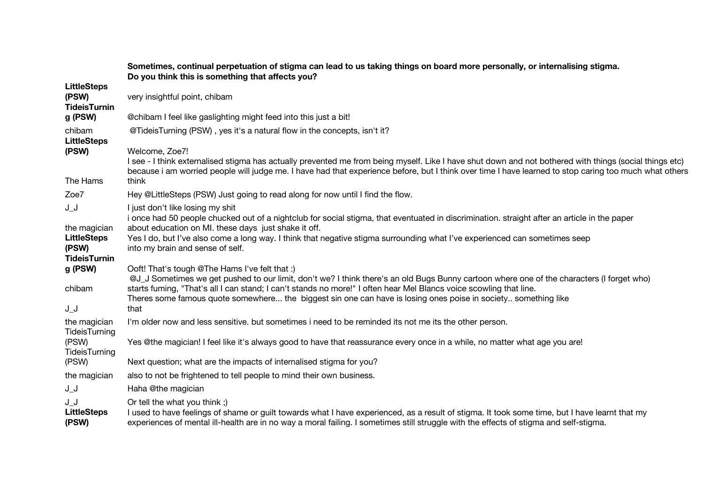|                                                    | Sometimes, continual perpetuation of stigma can lead to us taking things on board more personally, or internalising stigma.<br>Do you think this is something that affects you?                                                                                                                                                     |
|----------------------------------------------------|-------------------------------------------------------------------------------------------------------------------------------------------------------------------------------------------------------------------------------------------------------------------------------------------------------------------------------------|
| <b>LittleSteps</b><br>(PSW)<br><b>TideisTurnin</b> | very insightful point, chibam                                                                                                                                                                                                                                                                                                       |
| g (PSW)                                            | @chibam I feel like gaslighting might feed into this just a bit!                                                                                                                                                                                                                                                                    |
| chibam<br><b>LittleSteps</b>                       | @TideisTurning (PSW), yes it's a natural flow in the concepts, isn't it?                                                                                                                                                                                                                                                            |
| (PSW)                                              | Welcome, Zoe7!<br>I see - I think externalised stigma has actually prevented me from being myself. Like I have shut down and not bothered with things (social things etc)<br>because i am worried people will judge me. I have had that experience before, but I think over time I have learned to stop caring too much what others |
| The Hams                                           | think                                                                                                                                                                                                                                                                                                                               |
| Zoe7                                               | Hey @LittleSteps (PSW) Just going to read along for now until I find the flow.                                                                                                                                                                                                                                                      |
| $J_{-}J$                                           | I just don't like losing my shit<br>i once had 50 people chucked out of a nightclub for social stigma, that eventuated in discrimination. straight after an article in the paper                                                                                                                                                    |
| the magician<br><b>LittleSteps</b><br>(PSW)        | about education on MI. these days just shake it off.<br>Yes I do, but I've also come a long way. I think that negative stigma surrounding what I've experienced can sometimes seep<br>into my brain and sense of self.                                                                                                              |
| <b>TideisTurnin</b>                                |                                                                                                                                                                                                                                                                                                                                     |
| g (PSW)                                            | Ooft! That's tough @The Hams I've felt that :)<br>@J_J Sometimes we get pushed to our limit, don't we? I think there's an old Bugs Bunny cartoon where one of the characters (I forget who)                                                                                                                                         |
| chibam                                             | starts fuming, "That's all I can stand; I can't stands no more!" I often hear Mel Blancs voice scowling that line.<br>Theres some famous quote somewhere the biggest sin one can have is losing ones poise in society something like                                                                                                |
| $J_{-}J$                                           | that                                                                                                                                                                                                                                                                                                                                |
| the magician<br>TideisTurning                      | I'm older now and less sensitive. but sometimes i need to be reminded its not me its the other person.                                                                                                                                                                                                                              |
| (PSW)<br>TideisTurning                             | Yes @the magician! I feel like it's always good to have that reassurance every once in a while, no matter what age you are!                                                                                                                                                                                                         |
| (PSW)                                              | Next question; what are the impacts of internalised stigma for you?                                                                                                                                                                                                                                                                 |
| the magician                                       | also to not be frightened to tell people to mind their own business.                                                                                                                                                                                                                                                                |
| J_J                                                | Haha @the magician                                                                                                                                                                                                                                                                                                                  |
| J_J<br><b>LittleSteps</b><br>(PSW)                 | Or tell the what you think;)<br>I used to have feelings of shame or guilt towards what I have experienced, as a result of stigma. It took some time, but I have learnt that my<br>experiences of mental ill-health are in no way a moral failing. I sometimes still struggle with the effects of stigma and self-stigma.            |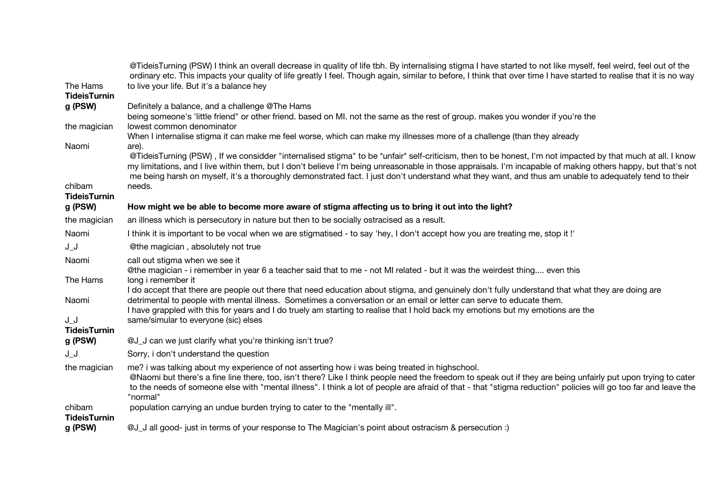| The Hams                      | @TideisTurning (PSW) I think an overall decrease in quality of life tbh. By internalising stigma I have started to not like myself, feel weird, feel out of the<br>ordinary etc. This impacts your quality of life greatly I feel. Though again, similar to before, I think that over time I have started to realise that it is no way<br>to live your life. But it's a balance hey                                                                                                          |
|-------------------------------|----------------------------------------------------------------------------------------------------------------------------------------------------------------------------------------------------------------------------------------------------------------------------------------------------------------------------------------------------------------------------------------------------------------------------------------------------------------------------------------------|
| <b>TideisTurnin</b>           |                                                                                                                                                                                                                                                                                                                                                                                                                                                                                              |
| g (PSW)                       | Definitely a balance, and a challenge @The Hams<br>being someone's 'little friend" or other friend. based on MI. not the same as the rest of group. makes you wonder if you're the                                                                                                                                                                                                                                                                                                           |
| the magician                  | lowest common denominator<br>When I internalise stigma it can make me feel worse, which can make my illnesses more of a challenge (than they already                                                                                                                                                                                                                                                                                                                                         |
| Naomi                         | are).<br>@TideisTurning (PSW), If we considder "internalised stigma" to be *unfair* self-criticism, then to be honest, I'm not impacted by that much at all. I know<br>my limitations, and I live within them, but I don't believe I'm being unreasonable in those appraisals. I'm incapable of making others happy, but that's not<br>me being harsh on myself, it's a thoroughly demonstrated fact. I just don't understand what they want, and thus am unable to adequately tend to their |
| chibam<br><b>TideisTurnin</b> | needs.                                                                                                                                                                                                                                                                                                                                                                                                                                                                                       |
| g (PSW)                       | How might we be able to become more aware of stigma affecting us to bring it out into the light?                                                                                                                                                                                                                                                                                                                                                                                             |
| the magician                  | an illness which is persecutory in nature but then to be socially ostracised as a result.                                                                                                                                                                                                                                                                                                                                                                                                    |
| Naomi                         | I think it is important to be vocal when we are stigmatised - to say 'hey, I don't accept how you are treating me, stop it!'                                                                                                                                                                                                                                                                                                                                                                 |
| JJ                            | @the magician, absolutely not true                                                                                                                                                                                                                                                                                                                                                                                                                                                           |
| Naomi                         | call out stigma when we see it<br>@the magician - i remember in year 6 a teacher said that to me - not MI related - but it was the weirdest thing even this                                                                                                                                                                                                                                                                                                                                  |
| The Hams                      | long i remember it                                                                                                                                                                                                                                                                                                                                                                                                                                                                           |
| Naomi                         | I do accept that there are people out there that need education about stigma, and genuinely don't fully understand that what they are doing are<br>detrimental to people with mental illness. Sometimes a conversation or an email or letter can serve to educate them.<br>I have grappled with this for years and I do truely am starting to realise that I hold back my emotions but my emotions are the                                                                                   |
| $J_{-}J_{-}$                  | same/simular to everyone (sic) elses                                                                                                                                                                                                                                                                                                                                                                                                                                                         |
| <b>TideisTurnin</b>           |                                                                                                                                                                                                                                                                                                                                                                                                                                                                                              |
| g (PSW)                       | @J_J can we just clarify what you're thinking isn't true?                                                                                                                                                                                                                                                                                                                                                                                                                                    |
| $J_{-}J_{-}$                  | Sorry, i don't understand the question                                                                                                                                                                                                                                                                                                                                                                                                                                                       |
| the magician                  | me? i was talking about my experience of not asserting how i was being treated in highschool.<br>@Naomi but there's a fine line there, too, isn't there? Like I think people need the freedom to speak out if they are being unfairly put upon trying to cater<br>to the needs of someone else with "mental illness". I think a lot of people are afraid of that - that "stigma reduction" policies will go too far and leave the<br>"normal"                                                |
| chibam<br><b>TideisTurnin</b> | population carrying an undue burden trying to cater to the "mentally ill".                                                                                                                                                                                                                                                                                                                                                                                                                   |
| g (PSW)                       | (: J all good- just in terms of your response to The Magician's point about ostracism & persecution                                                                                                                                                                                                                                                                                                                                                                                          |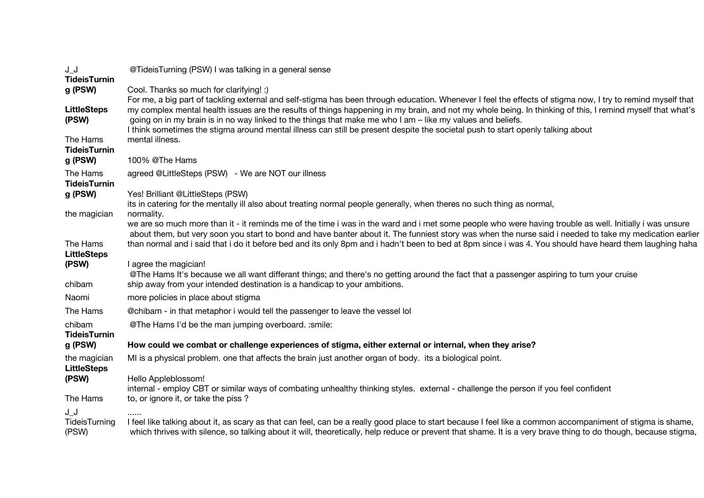| $J_{-}J_{-}$                           | @TideisTurning (PSW) I was talking in a general sense                                                                                                                                                                                                                                                                                                                                                      |
|----------------------------------------|------------------------------------------------------------------------------------------------------------------------------------------------------------------------------------------------------------------------------------------------------------------------------------------------------------------------------------------------------------------------------------------------------------|
| <b>TideisTurnin</b><br>g (PSW)         | Cool. Thanks so much for clarifying! :)<br>For me, a big part of tackling external and self-stigma has been through education. Whenever I feel the effects of stigma now, I try to remind myself that                                                                                                                                                                                                      |
| <b>LittleSteps</b><br>(PSW)            | my complex mental health issues are the results of things happening in my brain, and not my whole being. In thinking of this, I remind myself that what's<br>going on in my brain is in no way linked to the things that make me who I am - like my values and beliefs.<br>I think sometimes the stigma around mental illness can still be present despite the societal push to start openly talking about |
| The Hams<br><b>TideisTurnin</b>        | mental illness.                                                                                                                                                                                                                                                                                                                                                                                            |
| g (PSW)                                | 100% @The Hams                                                                                                                                                                                                                                                                                                                                                                                             |
| The Hams<br><b>TideisTurnin</b>        | agreed @LittleSteps (PSW) - We are NOT our illness                                                                                                                                                                                                                                                                                                                                                         |
| g (PSW)<br>the magician                | Yes! Brilliant @LittleSteps (PSW)<br>its in catering for the mentally ill also about treating normal people generally, when theres no such thing as normal,<br>normality.                                                                                                                                                                                                                                  |
|                                        | we are so much more than it - it reminds me of the time i was in the ward and i met some people who were having trouble as well. Initially i was unsure<br>about them, but very soon you start to bond and have banter about it. The funniest story was when the nurse said i needed to take my medication earlier                                                                                         |
| The Hams<br><b>LittleSteps</b>         | than normal and i said that i do it before bed and its only 8pm and i hadn't been to bed at 8pm since i was 4. You should have heard them laughing haha                                                                                                                                                                                                                                                    |
| (PSW)<br>chibam                        | I agree the magician!<br>@The Hams It's because we all want differant things; and there's no getting around the fact that a passenger aspiring to turn your cruise<br>ship away from your intended destination is a handicap to your ambitions.                                                                                                                                                            |
| Naomi                                  | more policies in place about stigma                                                                                                                                                                                                                                                                                                                                                                        |
| The Hams                               | @chibam - in that metaphor i would tell the passenger to leave the vessel lol                                                                                                                                                                                                                                                                                                                              |
| chibam<br><b>TideisTurnin</b>          | @The Hams I'd be the man jumping overboard. : smile:                                                                                                                                                                                                                                                                                                                                                       |
| g (PSW)                                | How could we combat or challenge experiences of stigma, either external or internal, when they arise?                                                                                                                                                                                                                                                                                                      |
| the magician<br><b>LittleSteps</b>     | MI is a physical problem. one that affects the brain just another organ of body. its a biological point.                                                                                                                                                                                                                                                                                                   |
| (PSW)                                  | Hello Appleblossom!<br>internal - employ CBT or similar ways of combating unhealthy thinking styles. external - challenge the person if you feel confident                                                                                                                                                                                                                                                 |
| The Hams                               | to, or ignore it, or take the piss?                                                                                                                                                                                                                                                                                                                                                                        |
| $J_{-}J_{-}$<br>TideisTurning<br>(PSW) | I feel like talking about it, as scary as that can feel, can be a really good place to start because I feel like a common accompaniment of stigma is shame,<br>which thrives with silence, so talking about it will, theoretically, help reduce or prevent that shame. It is a very brave thing to do though, because stigma,                                                                              |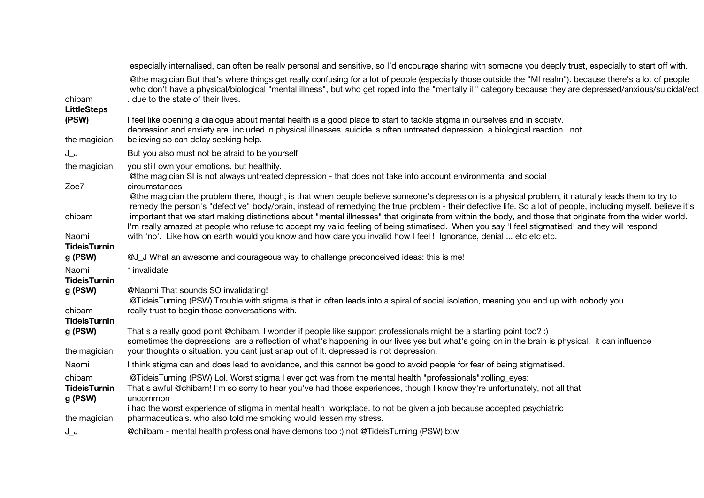| especially internalised, can often be really personal and sensitive, so I'd encourage sharing with someone you deeply trust, especially to start off with.                                                                                                                                                                                                   |
|--------------------------------------------------------------------------------------------------------------------------------------------------------------------------------------------------------------------------------------------------------------------------------------------------------------------------------------------------------------|
| @the magician But that's where things get really confusing for a lot of people (especially those outside the "MI realm"). because there's a lot of people<br>who don't have a physical/biological "mental illness", but who get roped into the "mentally ill" category because they are depressed/anxious/suicidal/ect<br>. due to the state of their lives. |
| I feel like opening a dialogue about mental health is a good place to start to tackle stigma in ourselves and in society.<br>depression and anxiety are included in physical illnesses. suicide is often untreated depression. a biological reaction not<br>believing so can delay seeking help.                                                             |
| But you also must not be afraid to be yourself                                                                                                                                                                                                                                                                                                               |
| you still own your emotions. but healthily.<br>@the magician SI is not always untreated depression - that does not take into account environmental and social                                                                                                                                                                                                |
| circumstances<br>@the magician the problem there, though, is that when people believe someone's depression is a physical problem, it naturally leads them to try to<br>remedy the person's "defective" body/brain, instead of remedying the true problem - their defective life. So a lot of people, including myself, believe it's                          |
| important that we start making distinctions about "mental illnesses" that originate from within the body, and those that originate from the wider world.<br>I'm really amazed at people who refuse to accept my valid feeling of being stimatised. When you say 'I feel stigmatised' and they will respond                                                   |
| with 'no'. Like how on earth would you know and how dare you invalid how I feel ! Ignorance, denial  etc etc etc.                                                                                                                                                                                                                                            |
| @J_J What an awesome and courageous way to challenge preconceived ideas: this is me!                                                                                                                                                                                                                                                                         |
| * invalidate                                                                                                                                                                                                                                                                                                                                                 |
| @Naomi That sounds SO invalidating!<br>@TideisTurning (PSW) Trouble with stigma is that in often leads into a spiral of social isolation, meaning you end up with nobody you                                                                                                                                                                                 |
| really trust to begin those conversations with.                                                                                                                                                                                                                                                                                                              |
| That's a really good point @chibam. I wonder if people like support professionals might be a starting point too? :)<br>sometimes the depressions are a reflection of what's happening in our lives yes but what's going on in the brain is physical. it can influence                                                                                        |
| your thoughts o situation. you cant just snap out of it. depressed is not depression.                                                                                                                                                                                                                                                                        |
| I think stigma can and does lead to avoidance, and this cannot be good to avoid people for fear of being stigmatised.                                                                                                                                                                                                                                        |
| @TideisTurning (PSW) Lol. Worst stigma I ever got was from the mental health "professionals":rolling_eyes:<br>That's awful @chibam! I'm so sorry to hear you've had those experiences, though I know they're unfortunately, not all that<br>uncommon                                                                                                         |
| i had the worst experience of stigma in mental health workplace, to not be given a job because accepted psychiatric<br>pharmaceuticals. who also told me smoking would lessen my stress.                                                                                                                                                                     |
| @chilbam - mental health professional have demons too :) not @TideisTurning (PSW) btw                                                                                                                                                                                                                                                                        |
|                                                                                                                                                                                                                                                                                                                                                              |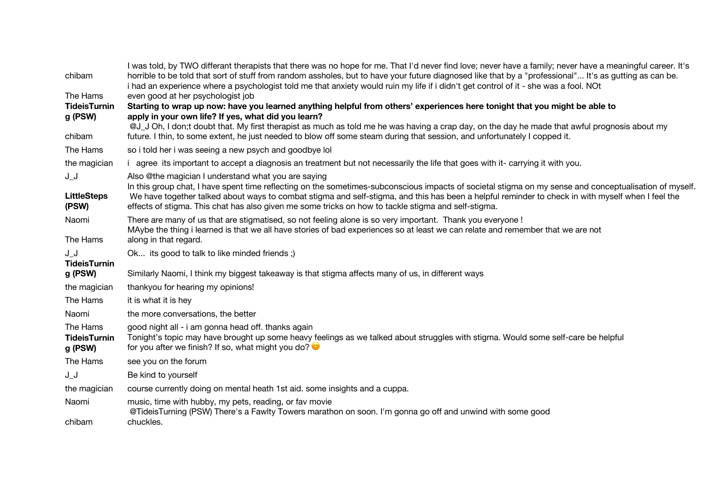| chibam                      | I was told, by TWO differant therapists that there was no hope for me. That I'd never find love; never have a family; never have a meaningful career. It's<br>horrible to be told that sort of stuff from random assholes, but to have your future diagnosed like that by a "professional" It's as gutting as can be.<br>i had an experience where a psychologist told me that anxiety would ruin my life if i didn't get control of it - she was a fool. NOt |
|-----------------------------|---------------------------------------------------------------------------------------------------------------------------------------------------------------------------------------------------------------------------------------------------------------------------------------------------------------------------------------------------------------------------------------------------------------------------------------------------------------|
| The Hams                    | even good at her psychologist job                                                                                                                                                                                                                                                                                                                                                                                                                             |
| <b>TideisTurnin</b>         | Starting to wrap up now: have you learned anything helpful from others' experiences here tonight that you might be able to                                                                                                                                                                                                                                                                                                                                    |
| g (PSW)                     | apply in your own life? If yes, what did you learn?                                                                                                                                                                                                                                                                                                                                                                                                           |
|                             | @J_J Oh, I don;t doubt that. My first therapist as much as told me he was having a crap day, on the day he made that awful prognosis about my                                                                                                                                                                                                                                                                                                                 |
| chibam                      | future. I thin, to some extent, he just needed to blow off some steam during that session, and unfortunately I copped it.                                                                                                                                                                                                                                                                                                                                     |
| The Hams                    | so i told her i was seeing a new psych and goodbye lol                                                                                                                                                                                                                                                                                                                                                                                                        |
| the magician                | i agree its important to accept a diagnosis an treatment but not necessarily the life that goes with it- carrying it with you.                                                                                                                                                                                                                                                                                                                                |
| J_J                         | Also @the magician I understand what you are saying                                                                                                                                                                                                                                                                                                                                                                                                           |
| <b>LittleSteps</b><br>(PSW) | In this group chat, I have spent time reflecting on the sometimes-subconscious impacts of societal stigma on my sense and conceptualisation of myself.<br>We have together talked about ways to combat stigma and self-stigma, and this has been a helpful reminder to check in with myself when I feel the<br>effects of stigma. This chat has also given me some tricks on how to tackle stigma and self-stigma.                                            |
| Naomi                       | There are many of us that are stigmatised, so not feeling alone is so very important. Thank you everyone !                                                                                                                                                                                                                                                                                                                                                    |
|                             | MAybe the thing i learned is that we all have stories of bad experiences so at least we can relate and remember that we are not                                                                                                                                                                                                                                                                                                                               |
| The Hams                    | along in that regard.                                                                                                                                                                                                                                                                                                                                                                                                                                         |
| JJ                          | Ok its good to talk to like minded friends;)                                                                                                                                                                                                                                                                                                                                                                                                                  |
| <b>TideisTurnin</b>         |                                                                                                                                                                                                                                                                                                                                                                                                                                                               |
| g (PSW)                     | Similarly Naomi, I think my biggest takeaway is that stigma affects many of us, in different ways                                                                                                                                                                                                                                                                                                                                                             |
| the magician                | thankyou for hearing my opinions!                                                                                                                                                                                                                                                                                                                                                                                                                             |
| The Hams                    | it is what it is hey                                                                                                                                                                                                                                                                                                                                                                                                                                          |
| Naomi                       | the more conversations, the better                                                                                                                                                                                                                                                                                                                                                                                                                            |
| The Hams                    | good night all - i am gonna head off. thanks again                                                                                                                                                                                                                                                                                                                                                                                                            |
| <b>TideisTurnin</b>         | Tonight's topic may have brought up some heavy feelings as we talked about struggles with stigma. Would some self-care be helpful                                                                                                                                                                                                                                                                                                                             |
| g (PSW)                     | for you after we finish? If so, what might you do? $\bullet$                                                                                                                                                                                                                                                                                                                                                                                                  |
| The Hams                    | see you on the forum                                                                                                                                                                                                                                                                                                                                                                                                                                          |
| $J_{-}J_{-}$                | Be kind to yourself                                                                                                                                                                                                                                                                                                                                                                                                                                           |
| the magician                | course currently doing on mental heath 1st aid. some insights and a cuppa.                                                                                                                                                                                                                                                                                                                                                                                    |
| Naomi                       | music, time with hubby, my pets, reading, or fav movie                                                                                                                                                                                                                                                                                                                                                                                                        |
|                             | @TideisTurning (PSW) There's a Fawlty Towers marathon on soon. I'm gonna go off and unwind with some good                                                                                                                                                                                                                                                                                                                                                     |
| chibam                      | chuckles.                                                                                                                                                                                                                                                                                                                                                                                                                                                     |